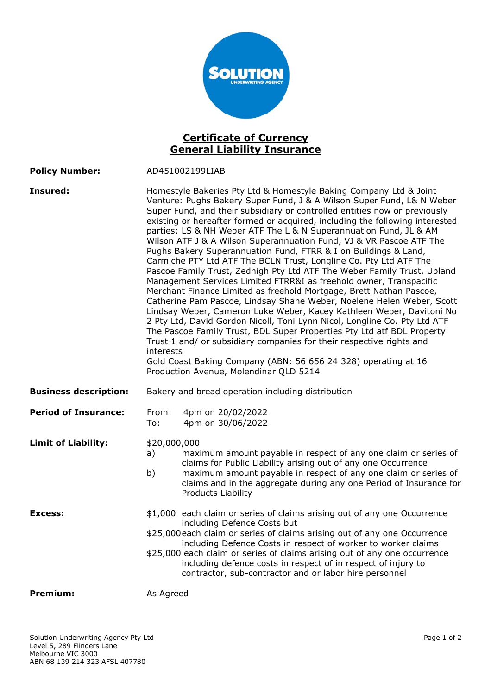

## Certificate of Currency General Liability Insurance

| <b>Policy Number:</b> | AD451002199LIAB |
|-----------------------|-----------------|
|                       |                 |

| Insured:                              | interests                                         | Homestyle Bakeries Pty Ltd & Homestyle Baking Company Ltd & Joint<br>Venture: Pughs Bakery Super Fund, J & A Wilson Super Fund, L& N Weber<br>Super Fund, and their subsidiary or controlled entities now or previously<br>existing or hereafter formed or acquired, including the following interested<br>parties: LS & NH Weber ATF The L & N Superannuation Fund, JL & AM<br>Wilson ATF J & A Wilson Superannuation Fund, VJ & VR Pascoe ATF The<br>Pughs Bakery Superannuation Fund, FTRR & I on Buildings & Land,<br>Carmiche PTY Ltd ATF The BCLN Trust, Longline Co. Pty Ltd ATF The<br>Pascoe Family Trust, Zedhigh Pty Ltd ATF The Weber Family Trust, Upland<br>Management Services Limited FTRR&I as freehold owner, Transpacific<br>Merchant Finance Limited as freehold Mortgage, Brett Nathan Pascoe,<br>Catherine Pam Pascoe, Lindsay Shane Weber, Noelene Helen Weber, Scott<br>Lindsay Weber, Cameron Luke Weber, Kacey Kathleen Weber, Davitoni No<br>2 Pty Ltd, David Gordon Nicoll, Toni Lynn Nicol, Longline Co. Pty Ltd ATF<br>The Pascoe Family Trust, BDL Super Properties Pty Ltd atf BDL Property<br>Trust 1 and/ or subsidiary companies for their respective rights and<br>Gold Coast Baking Company (ABN: 56 656 24 328) operating at 16<br>Production Avenue, Molendinar QLD 5214 |
|---------------------------------------|---------------------------------------------------|-----------------------------------------------------------------------------------------------------------------------------------------------------------------------------------------------------------------------------------------------------------------------------------------------------------------------------------------------------------------------------------------------------------------------------------------------------------------------------------------------------------------------------------------------------------------------------------------------------------------------------------------------------------------------------------------------------------------------------------------------------------------------------------------------------------------------------------------------------------------------------------------------------------------------------------------------------------------------------------------------------------------------------------------------------------------------------------------------------------------------------------------------------------------------------------------------------------------------------------------------------------------------------------------------------------------|
| <b>Business description:</b>          | Bakery and bread operation including distribution |                                                                                                                                                                                                                                                                                                                                                                                                                                                                                                                                                                                                                                                                                                                                                                                                                                                                                                                                                                                                                                                                                                                                                                                                                                                                                                                 |
| <b>Period of Insurance:</b>           | From:<br>To:                                      | 4pm on 20/02/2022<br>4pm on 30/06/2022                                                                                                                                                                                                                                                                                                                                                                                                                                                                                                                                                                                                                                                                                                                                                                                                                                                                                                                                                                                                                                                                                                                                                                                                                                                                          |
| <b>Limit of Liability:</b><br>Excess: | \$20,000,000<br>a)<br>b)                          | maximum amount payable in respect of any one claim or series of<br>claims for Public Liability arising out of any one Occurrence<br>maximum amount payable in respect of any one claim or series of<br>claims and in the aggregate during any one Period of Insurance for<br>Products Liability<br>\$1,000 each claim or series of claims arising out of any one Occurrence                                                                                                                                                                                                                                                                                                                                                                                                                                                                                                                                                                                                                                                                                                                                                                                                                                                                                                                                     |
|                                       |                                                   | including Defence Costs but<br>\$25,000 each claim or series of claims arising out of any one Occurrence<br>including Defence Costs in respect of worker to worker claims<br>\$25,000 each claim or series of claims arising out of any one occurrence<br>including defence costs in respect of in respect of injury to<br>contractor, sub-contractor and or labor hire personnel                                                                                                                                                                                                                                                                                                                                                                                                                                                                                                                                                                                                                                                                                                                                                                                                                                                                                                                               |
| <b>Premium:</b>                       | As Agreed                                         |                                                                                                                                                                                                                                                                                                                                                                                                                                                                                                                                                                                                                                                                                                                                                                                                                                                                                                                                                                                                                                                                                                                                                                                                                                                                                                                 |